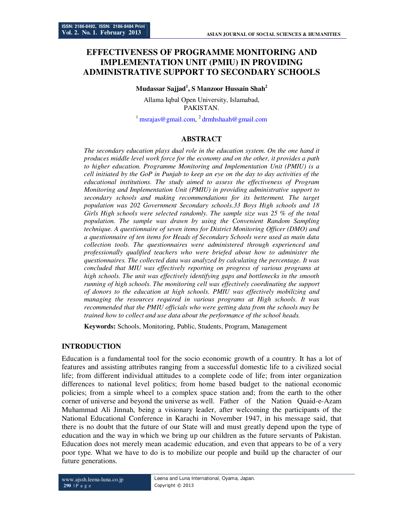# **EFFECTIVENESS OF PROGRAMME MONITORING AND IMPLEMENTATION UNIT (PMIU) IN PROVIDING ADMINISTRATIVE SUPPORT TO SECONDARY SCHOOLS**

#### **Mudassar Sajjad<sup>1</sup> , S Manzoor Hussain Shah<sup>2</sup>**

Allama Iqbal Open University, Islamabad, PAKISTAN.

<sup>1</sup> msrajas@gmail.com, <sup>2</sup> drmhshaah@gmail.com

#### **ABSTRACT**

*The secondary education plays dual role in the education system. On the one hand it produces middle level work force for the economy and on the other, it provides a path to higher education. Programme Monitoring and Implementation Unit (PMIU) is a cell initiated by the GoP in Punjab to keep an eye on the day to day activities of the educational institutions. The study aimed to assess the effectiveness of Program Monitoring and Implementation Unit (PMIU) in providing administrative support to secondary schools and making recommendations for its betterment. The target population was 202 Government Secondary schools.33 Boys High schools and 18 Girls High schools were selected randomly. The sample size was 25 % of the total population. The sample was drawn by using the Convenient Random Sampling technique. A questionnaire of seven items for District Monitoring Officer (DMO) and a questionnaire of ten items for Heads of Secondary Schools were used as main data collection tools. The questionnaires were administered through experienced and professionally qualified teachers who were briefed about how to administer the questionnaires. The collected data was analyzed by calculating the percentage. It was concluded that MIU was effectively reporting on progress of various programs at high schools. The unit was effectively identifying gaps and bottlenecks in the smooth running of high schools. The monitoring cell was effectively coordinating the support of donors to the education at high schools. PMIU was effectively mobilizing and managing the resources required in various programs at High schools. It was recommended that the PMIU officials who were getting data from the schools may be trained how to collect and use data about the performance of the school heads.* 

**Keywords:** Schools, Monitoring, Public, Students, Program, Management

#### **INTRODUCTION**

Education is a fundamental tool for the socio economic growth of a country. It has a lot of features and assisting attributes ranging from a successful domestic life to a civilized social life; from different individual attitudes to a complete code of life; from inter organization differences to national level politics; from home based budget to the national economic policies; from a simple wheel to a complex space station and; from the earth to the other corner of universe and beyond the universe as well. Father of the Nation Quaid-e-Azam Muhammad Ali Jinnah, being a visionary leader, after welcoming the participants of the National Educational Conference in Karachi in November 1947, in his message said, that there is no doubt that the future of our State will and must greatly depend upon the type of education and the way in which we bring up our children as the future servants of Pakistan. Education does not merely mean academic education, and even that appears to be of a very poor type. What we have to do is to mobilize our people and build up the character of our future generations.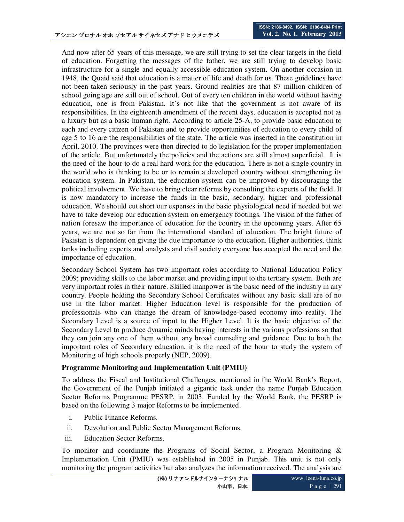And now after 65 years of this message, we are still trying to set the clear targets in the field of education. Forgetting the messages of the father, we are still trying to develop basic infrastructure for a single and equally accessible education system. On another occasion in 1948, the Quaid said that education is a matter of life and death for us. These guidelines have not been taken seriously in the past years. Ground realities are that 87 million children of school going age are still out of school. Out of every ten children in the world without having education, one is from Pakistan. It's not like that the government is not aware of its responsibilities. In the eighteenth amendment of the recent days, education is accepted not as a luxury but as a basic human right. According to article 25-A, to provide basic education to each and every citizen of Pakistan and to provide opportunities of education to every child of age 5 to 16 are the responsibilities of the state. The article was inserted in the constitution in April, 2010. The provinces were then directed to do legislation for the proper implementation of the article. But unfortunately the policies and the actions are still almost superficial. It is the need of the hour to do a real hard work for the education. There is not a single country in the world who is thinking to be or to remain a developed country without strengthening its education system. In Pakistan, the education system can be improved by discouraging the political involvement. We have to bring clear reforms by consulting the experts of the field. It is now mandatory to increase the funds in the basic, secondary, higher and professional education. We should cut short our expenses in the basic physiological need if needed but we have to take develop our education system on emergency footings. The vision of the father of nation foresaw the importance of education for the country in the upcoming years. After 65 years, we are not so far from the international standard of education. The bright future of Pakistan is dependent on giving the due importance to the education. Higher authorities, think tanks including experts and analysts and civil society everyone has accepted the need and the importance of education.

Secondary School System has two important roles according to National Education Policy 2009; providing skills to the labor market and providing input to the tertiary system. Both are very important roles in their nature. Skilled manpower is the basic need of the industry in any country. People holding the Secondary School Certificates without any basic skill are of no use in the labor market. Higher Education level is responsible for the production of professionals who can change the dream of knowledge-based economy into reality. The Secondary Level is a source of input to the Higher Level. It is the basic objective of the Secondary Level to produce dynamic minds having interests in the various professions so that they can join any one of them without any broad counseling and guidance. Due to both the important roles of Secondary education, it is the need of the hour to study the system of Monitoring of high schools properly (NEP, 2009).

# **Programme Monitoring and Implementation Unit (PMIU)**

To address the Fiscal and Institutional Challenges, mentioned in the World Bank's Report, the Government of the Punjab initiated a gigantic task under the name Punjab Education Sector Reforms Programme PESRP, in 2003. Funded by the World Bank, the PESRP is based on the following 3 major Reforms to be implemented.

- i. Public Finance Reforms.
- ii. Devolution and Public Sector Management Reforms.
- iii. Education Sector Reforms.

To monitor and coordinate the Programs of Social Sector, a Program Monitoring & Implementation Unit (PMIU) was established in 2005 in Punjab. This unit is not only monitoring the program activities but also analyzes the information received. The analysis are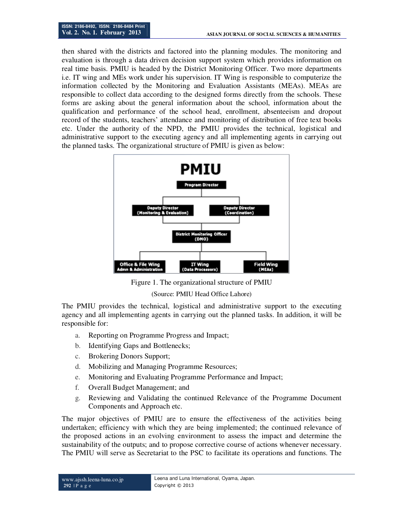then shared with the districts and factored into the planning modules. The monitoring and evaluation is through a data driven decision support system which provides information on real time basis. PMIU is headed by the District Monitoring Officer. Two more departments i.e. IT wing and MEs work under his supervision. IT Wing is responsible to computerize the information collected by the Monitoring and Evaluation Assistants (MEAs). MEAs are responsible to collect data according to the designed forms directly from the schools. These forms are asking about the general information about the school, information about the qualification and performance of the school head, enrollment, absenteeism and dropout record of the students, teachers' attendance and monitoring of distribution of free text books etc. Under the authority of the NPD, the PMIU provides the technical, logistical and administrative support to the executing agency and all implementing agents in carrying out the planned tasks. The organizational structure of PMIU is given as below:



Figure 1. The organizational structure of PMIU

(Source: PMIU Head Office Lahore)

The PMIU provides the technical, logistical and administrative support to the executing agency and all implementing agents in carrying out the planned tasks. In addition, it will be responsible for:

- a. Reporting on Programme Progress and Impact;
- b. Identifying Gaps and Bottlenecks;
- c. Brokering Donors Support;
- d. Mobilizing and Managing Programme Resources;
- e. Monitoring and Evaluating Programme Performance and Impact;
- f. Overall Budget Management; and
- g. Reviewing and Validating the continued Relevance of the Programme Document Components and Approach etc.

The major objectives of PMIU are to ensure the effectiveness of the activities being undertaken; efficiency with which they are being implemented; the continued relevance of the proposed actions in an evolving environment to assess the impact and determine the sustainability of the outputs; and to propose corrective course of actions whenever necessary. The PMIU will serve as Secretariat to the PSC to facilitate its operations and functions. The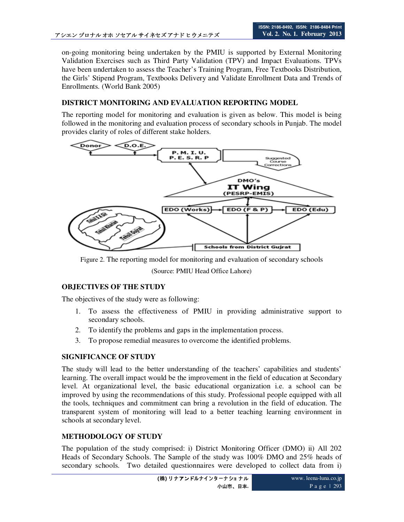on-going monitoring being undertaken by the PMIU is supported by External Monitoring Validation Exercises such as Third Party Validation (TPV) and Impact Evaluations. TPVs have been undertaken to assess the Teacher's Training Program, Free Textbooks Distribution, the Girls' Stipend Program, Textbooks Delivery and Validate Enrollment Data and Trends of Enrollments. (World Bank 2005)

### **DISTRICT MONITORING AND EVALUATION REPORTING MODEL**

The reporting model for monitoring and evaluation is given as below. This model is being followed in the monitoring and evaluation process of secondary schools in Punjab. The model provides clarity of roles of different stake holders.



Figure 2. The reporting model for monitoring and evaluation of secondary schools (Source: PMIU Head Office Lahore)

# **OBJECTIVES OF THE STUDY**

The objectives of the study were as following:

- 1. To assess the effectiveness of PMIU in providing administrative support to secondary schools.
- 2. To identify the problems and gaps in the implementation process.
- 3. To propose remedial measures to overcome the identified problems.

# **SIGNIFICANCE OF STUDY**

The study will lead to the better understanding of the teachers' capabilities and students' learning. The overall impact would be the improvement in the field of education at Secondary level. At organizational level, the basic educational organization i.e. a school can be improved by using the recommendations of this study. Professional people equipped with all the tools, techniques and commitment can bring a revolution in the field of education. The transparent system of monitoring will lead to a better teaching learning environment in schools at secondary level.

# **METHODOLOGY OF STUDY**

The population of the study comprised: i) District Monitoring Officer (DMO) ii) All 202 Heads of Secondary Schools. The Sample of the study was 100% DMO and 25% heads of secondary schools. Two detailed questionnaires were developed to collect data from i)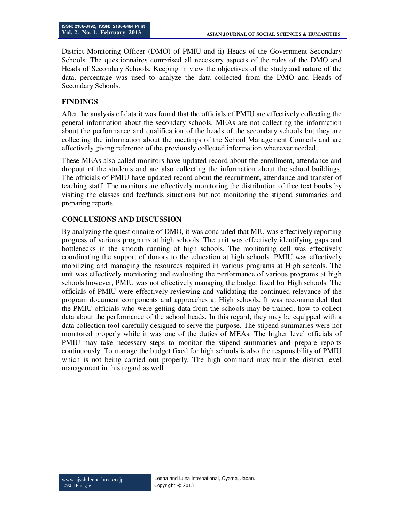District Monitoring Officer (DMO) of PMIU and ii) Heads of the Government Secondary Schools. The questionnaires comprised all necessary aspects of the roles of the DMO and Heads of Secondary Schools. Keeping in view the objectives of the study and nature of the data, percentage was used to analyze the data collected from the DMO and Heads of Secondary Schools.

# **FINDINGS**

After the analysis of data it was found that the officials of PMIU are effectively collecting the general information about the secondary schools. MEAs are not collecting the information about the performance and qualification of the heads of the secondary schools but they are collecting the information about the meetings of the School Management Councils and are effectively giving reference of the previously collected information whenever needed.

These MEAs also called monitors have updated record about the enrollment, attendance and dropout of the students and are also collecting the information about the school buildings. The officials of PMIU have updated record about the recruitment, attendance and transfer of teaching staff. The monitors are effectively monitoring the distribution of free text books by visiting the classes and fee/funds situations but not monitoring the stipend summaries and preparing reports.

# **CONCLUSIONS AND DISCUSSION**

By analyzing the questionnaire of DMO, it was concluded that MIU was effectively reporting progress of various programs at high schools. The unit was effectively identifying gaps and bottlenecks in the smooth running of high schools. The monitoring cell was effectively coordinating the support of donors to the education at high schools. PMIU was effectively mobilizing and managing the resources required in various programs at High schools. The unit was effectively monitoring and evaluating the performance of various programs at high schools however, PMIU was not effectively managing the budget fixed for High schools. The officials of PMIU were effectively reviewing and validating the continued relevance of the program document components and approaches at High schools. It was recommended that the PMIU officials who were getting data from the schools may be trained; how to collect data about the performance of the school heads. In this regard, they may be equipped with a data collection tool carefully designed to serve the purpose. The stipend summaries were not monitored properly while it was one of the duties of MEAs. The higher level officials of PMIU may take necessary steps to monitor the stipend summaries and prepare reports continuously. To manage the budget fixed for high schools is also the responsibility of PMIU which is not being carried out properly. The high command may train the district level management in this regard as well.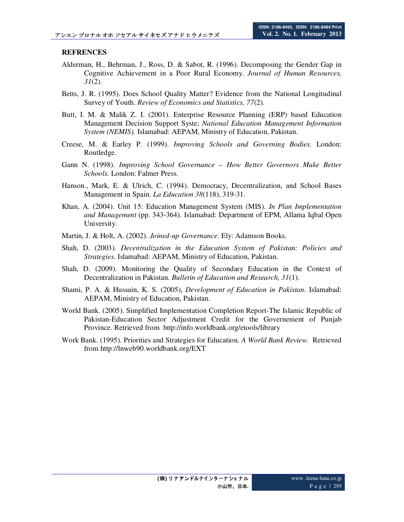#### **REFRENCES**

- Alderman, H., Behrman, J., Ross, D. & Sabot, R. (1996). Decomposing the Gender Gap in Cognitive Achievement in a Poor Rural Economy. *Journal of Human Resources, 31*(2).
- Betts, J. R. (1995). Does School Quality Matter? Evidence from the National Longitudinal Survey of Youth. *Review of Economics and Statistics, 77*(2).
- Butt, I. M. & Malik Z. I. (2001). Enterprise Resource Planning (ERP) based Education Management Decision Support Syste; *National Education Management Information System (NEMIS).* Islamabad: AEPAM, Ministry of Education, Pakistan.
- Creese, M. & Earley P. (1999). *Improving Schools and Governing Bodies*. London: Routledge.
- Gann N. (1998). *Improving School Governance How Better Governors Make Better Schools.* London: Falmer Press.
- Hanson., Mark, E. & Ulrich, C. (1994). Democracy, Decentralization, and School Bases Management in Spain. *La Education 38*(118), 319-31.
- Khan, A. (2004). Unit 15: Education Management System (MIS). *In Plan Implementation and Management* (pp. 343-364). Islamabad: Department of EPM, Allama Iqbal Open University.
- Martin, J. & Holt, A. (2002). *Joined-up Governance*. Ely: Adamson Books.
- Shah, D. (2003). *Decentralization in the Education System of Pakistan: Policies and Strategies.* Islamabad: AEPAM, Ministry of Education, Pakistan.
- Shah, D. (2009). Monitoring the Quality of Secondary Education in the Context of Decentralization in Pakistan*. Bulletin of Education and Research, 31*(1).
- Shami, P. A. & Hussain, K. S. (2005), *Development of Education in Pakistan*. Islamabad: AEPAM, Ministry of Education, Pakistan.
- World Bank. (2005). Simplified Implementation Completion Report-The Islamic Republic of Pakistan-Education Sector Adjustment Credit for the Governement of Punjab Province. Retrieved from http://info.worldbank.org/etools/library
- Work Bank. (1995). Priorities and Strategies for Education. *A World Bank Review*. Retrieved from http://lnweb90.worldbank.org/EXT